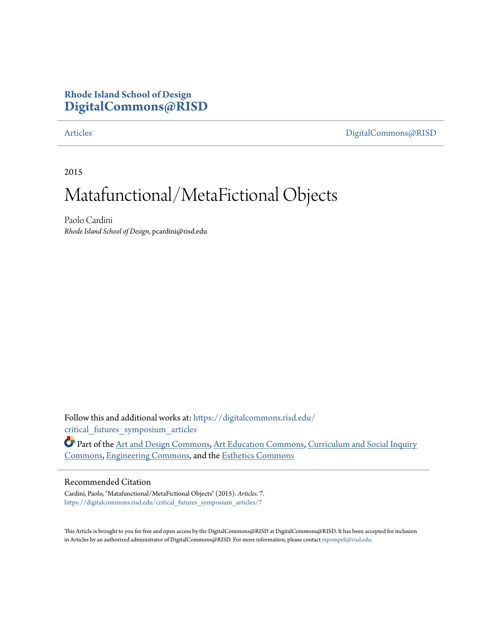### **Rhode Island School of Design [DigitalCommons@RISD](https://digitalcommons.risd.edu?utm_source=digitalcommons.risd.edu%2Fcritical_futures_symposium_articles%2F7&utm_medium=PDF&utm_campaign=PDFCoverPages)**

[Articles](https://digitalcommons.risd.edu/critical_futures_symposium_articles?utm_source=digitalcommons.risd.edu%2Fcritical_futures_symposium_articles%2F7&utm_medium=PDF&utm_campaign=PDFCoverPages) [DigitalCommons@RISD](https://digitalcommons.risd.edu?utm_source=digitalcommons.risd.edu%2Fcritical_futures_symposium_articles%2F7&utm_medium=PDF&utm_campaign=PDFCoverPages)

2015

## Matafunctional/MetaFictional Objects

Paolo Cardini *Rhode Island School of Design*, pcardini@risd.edu

Follow this and additional works at: [https://digitalcommons.risd.edu/](https://digitalcommons.risd.edu/critical_futures_symposium_articles?utm_source=digitalcommons.risd.edu%2Fcritical_futures_symposium_articles%2F7&utm_medium=PDF&utm_campaign=PDFCoverPages) [critical\\_futures\\_symposium\\_articles](https://digitalcommons.risd.edu/critical_futures_symposium_articles?utm_source=digitalcommons.risd.edu%2Fcritical_futures_symposium_articles%2F7&utm_medium=PDF&utm_campaign=PDFCoverPages)

Part of the [Art and Design Commons,](http://network.bepress.com/hgg/discipline/1049?utm_source=digitalcommons.risd.edu%2Fcritical_futures_symposium_articles%2F7&utm_medium=PDF&utm_campaign=PDFCoverPages) [Art Education Commons](http://network.bepress.com/hgg/discipline/1149?utm_source=digitalcommons.risd.edu%2Fcritical_futures_symposium_articles%2F7&utm_medium=PDF&utm_campaign=PDFCoverPages), [Curriculum and Social Inquiry](http://network.bepress.com/hgg/discipline/1038?utm_source=digitalcommons.risd.edu%2Fcritical_futures_symposium_articles%2F7&utm_medium=PDF&utm_campaign=PDFCoverPages) [Commons,](http://network.bepress.com/hgg/discipline/1038?utm_source=digitalcommons.risd.edu%2Fcritical_futures_symposium_articles%2F7&utm_medium=PDF&utm_campaign=PDFCoverPages) [Engineering Commons](http://network.bepress.com/hgg/discipline/217?utm_source=digitalcommons.risd.edu%2Fcritical_futures_symposium_articles%2F7&utm_medium=PDF&utm_campaign=PDFCoverPages), and the [Esthetics Commons](http://network.bepress.com/hgg/discipline/528?utm_source=digitalcommons.risd.edu%2Fcritical_futures_symposium_articles%2F7&utm_medium=PDF&utm_campaign=PDFCoverPages)

#### Recommended Citation

Cardini, Paolo, "Matafunctional/MetaFictional Objects" (2015). *Articles*. 7. [https://digitalcommons.risd.edu/critical\\_futures\\_symposium\\_articles/7](https://digitalcommons.risd.edu/critical_futures_symposium_articles/7?utm_source=digitalcommons.risd.edu%2Fcritical_futures_symposium_articles%2F7&utm_medium=PDF&utm_campaign=PDFCoverPages)

This Article is brought to you for free and open access by the DigitalCommons@RISD at DigitalCommons@RISD. It has been accepted for inclusion in Articles by an authorized administrator of DigitalCommons@RISD. For more information, please contact [mpompeli@risd.edu.](mailto:mpompeli@risd.edu)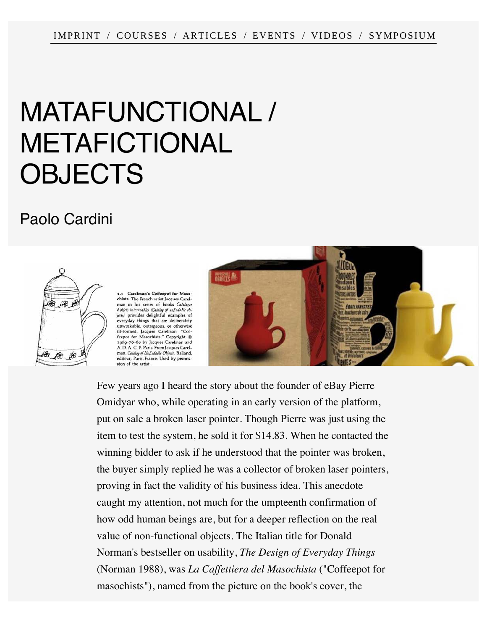# MATAFUNCTIONAL / METAFICTIONAL **OBJECTS**

## [Paolo Cardini](http://www.cd-cf.org/people/#Paolo-Cardini)



Carelman's Coffeepot for Maso chists. The French artist Iacques Carelman in his series of books Catalogue d'objets introuvables (Catalog of unfindable ob-<br>jects) provides delightful examples of *jets*) provides delightful examples of<br>everyday things that are deliberately<br>unworkable, outrageous, or otherwise<br>ill-formed. Jacques Carelman: "Cof-<br>feepot for Masochists." Copyright @<br>1.00-76-80 by Jacques Carelman and éditeur, Paris-France. Used by permission of the artist.



Few years ago I heard the story about the founder of eBay Pierre Omidyar who, while operating in an early version of the platform, put on sale a broken laser pointer. Though Pierre was just using the item to test the system, he sold it for \$14.83. When he contacted the winning bidder to ask if he understood that the pointer was broken, the buyer simply replied he was a collector of broken laser pointers, proving in fact the validity of his business idea. This anecdote caught my attention, not much for the umpteenth confirmation of how odd human beings are, but for a deeper reflection on the real value of non-functional objects. The Italian title for Donald Norman's bestseller on usability, *The Design of Everyday Things* (Norman 1988), was *La Caffettiera del Masochista* ("Coffeepot for masochists"), named from the picture on the book's cover, the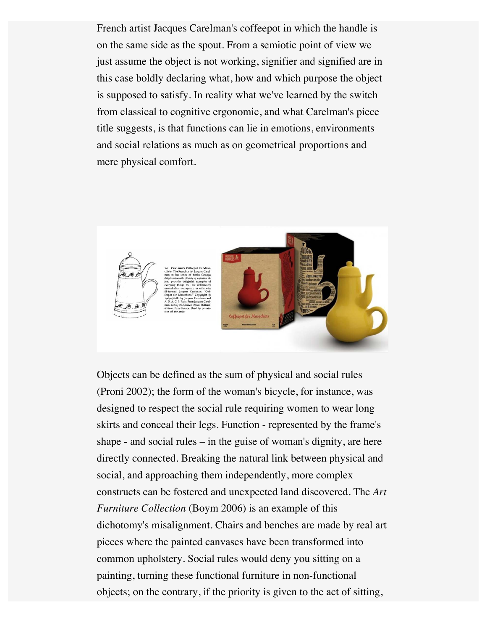French artist Jacques Carelman's coffeepot in which the handle is on the same side as the spout. From a semiotic point of view we just assume the object is not working, signifier and signified are in this case boldly declaring what, how and which purpose the object is supposed to satisfy. In reality what we've learned by the switch from classical to cognitive ergonomic, and what Carelman's piece title suggests, is that functions can lie in emotions, environments and social relations as much as on geometrical proportions and mere physical comfort.



Objects can be defined as the sum of physical and social rules (Proni 2002); the form of the woman's bicycle, for instance, was designed to respect the social rule requiring women to wear long skirts and conceal their legs. Function - represented by the frame's shape - and social rules – in the guise of woman's dignity, are here directly connected. Breaking the natural link between physical and social, and approaching them independently, more complex constructs can be fostered and unexpected land discovered. The *Art Furniture Collection* (Boym 2006) is an example of this dichotomy's misalignment. Chairs and benches are made by real art pieces where the painted canvases have been transformed into common upholstery. Social rules would deny you sitting on a painting, turning these functional furniture in non-functional objects; on the contrary, if the priority is given to the act of sitting,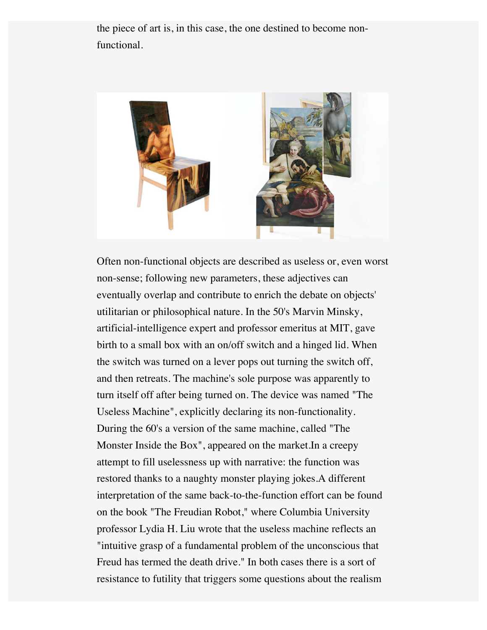the piece of art is, in this case, the one destined to become nonfunctional.



Often non-functional objects are described as useless or, even worst non-sense; following new parameters, these adjectives can eventually overlap and contribute to enrich the debate on objects' utilitarian or philosophical nature. In the 50's Marvin Minsky, artificial-intelligence expert and professor emeritus at MIT, gave birth to a small box with an on/off switch and a hinged lid. When the switch was turned on a lever pops out turning the switch off, and then retreats. The machine's sole purpose was apparently to turn itself off after being turned on. The device was named "The Useless Machine", explicitly declaring its non-functionality. During the 60's a version of the same machine, called "The Monster Inside the Box", appeared on the market.In a creepy attempt to fill uselessness up with narrative: the function was restored thanks to a naughty monster playing jokes.A different interpretation of the same back-to-the-function effort can be found on the book "The Freudian Robot," where Columbia University professor Lydia H. Liu wrote that the useless machine reflects an "intuitive grasp of a fundamental problem of the unconscious that Freud has termed the death drive." In both cases there is a sort of resistance to futility that triggers some questions about the realism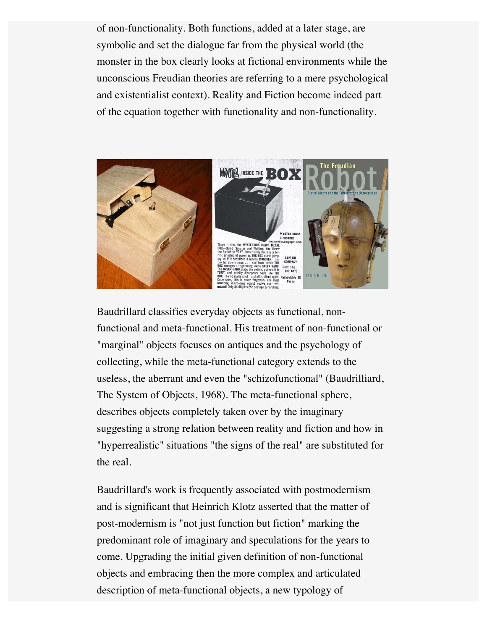of non-functionality. Both functions, added at a later stage, are symbolic and set the dialogue far from the physical world (the monster in the box clearly looks at fictional environments while the unconscious Freudian theories are referring to a mere psychological and existentialist context). Reality and Fiction become indeed part of the equation together with functionality and non-functionality.



Baudrillard classifies everyday objects as functional, nonfunctional and meta-functional. His treatment of non-functional or "marginal" objects focuses on antiques and the psychology of collecting, while the meta-functional category extends to the useless, the aberrant and even the "schizofunctional" (Baudrilliard, The System of Objects, 1968). The meta-functional sphere, describes objects completely taken over by the imaginary suggesting a strong relation between reality and fiction and how in "hyperrealistic" situations "the signs of the real" are substituted for the real.

Baudrillard's work is frequently associated with postmodernism and is significant that Heinrich Klotz asserted that the matter of post-modernism is "not just function but fiction" marking the predominant role of imaginary and speculations for the years to come. Upgrading the initial given definition of non-functional objects and embracing then the more complex and articulated description of meta-functional objects, a new typology of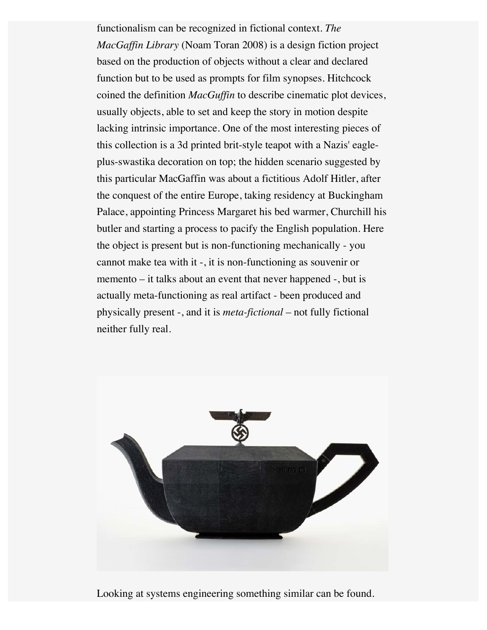functionalism can be recognized in fictional context. *The MacGaffin Library* (Noam Toran 2008) is a design fiction project based on the production of objects without a clear and declared function but to be used as prompts for film synopses. Hitchcock coined the definition *MacGuffin* to describe cinematic plot devices, usually objects, able to set and keep the story in motion despite lacking intrinsic importance. One of the most interesting pieces of this collection is a 3d printed brit-style teapot with a Nazis' eagleplus-swastika decoration on top; the hidden scenario suggested by this particular MacGaffin was about a fictitious Adolf Hitler, after the conquest of the entire Europe, taking residency at Buckingham Palace, appointing Princess Margaret his bed warmer, Churchill his butler and starting a process to pacify the English population. Here the object is present but is non-functioning mechanically - you cannot make tea with it -, it is non-functioning as souvenir or memento – it talks about an event that never happened -, but is actually meta-functioning as real artifact - been produced and physically present -, and it is *meta-fictional* – not fully fictional neither fully real.



Looking at systems engineering something similar can be found.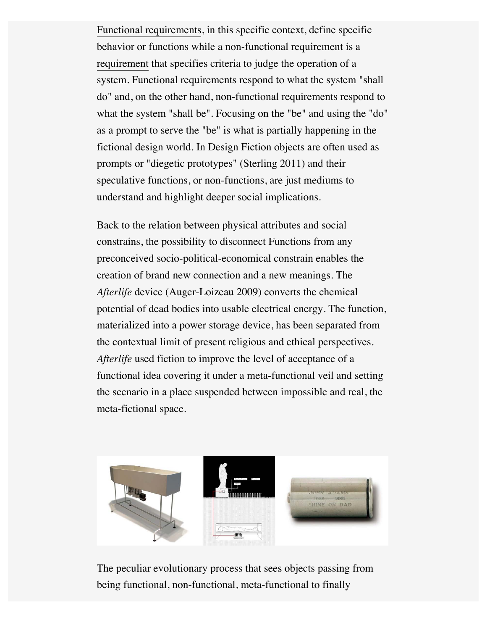[Functional requirements](http://en.wikipedia.org/wiki/Functional_requirement), in this specific context, define specific behavior or functions while a non-functional requirement is a [requirement](http://en.wikipedia.org/wiki/Requirement) that specifies criteria to judge the operation of a system. Functional requirements respond to what the system "shall do" and, on the other hand, non-functional requirements respond to what the system "shall be". Focusing on the "be" and using the "do" as a prompt to serve the "be" is what is partially happening in the fictional design world. In Design Fiction objects are often used as prompts or "diegetic prototypes" (Sterling 2011) and their speculative functions, or non-functions, are just mediums to understand and highlight deeper social implications.

Back to the relation between physical attributes and social constrains, the possibility to disconnect Functions from any preconceived socio-political-economical constrain enables the creation of brand new connection and a new meanings. The *Afterlife* device (Auger-Loizeau 2009) converts the chemical potential of dead bodies into usable electrical energy. The function, materialized into a power storage device, has been separated from the contextual limit of present religious and ethical perspectives. *Afterlife* used fiction to improve the level of acceptance of a functional idea covering it under a meta-functional veil and setting the scenario in a place suspended between impossible and real, the meta-fictional space.



The peculiar evolutionary process that sees objects passing from being functional, non-functional, meta-functional to finally